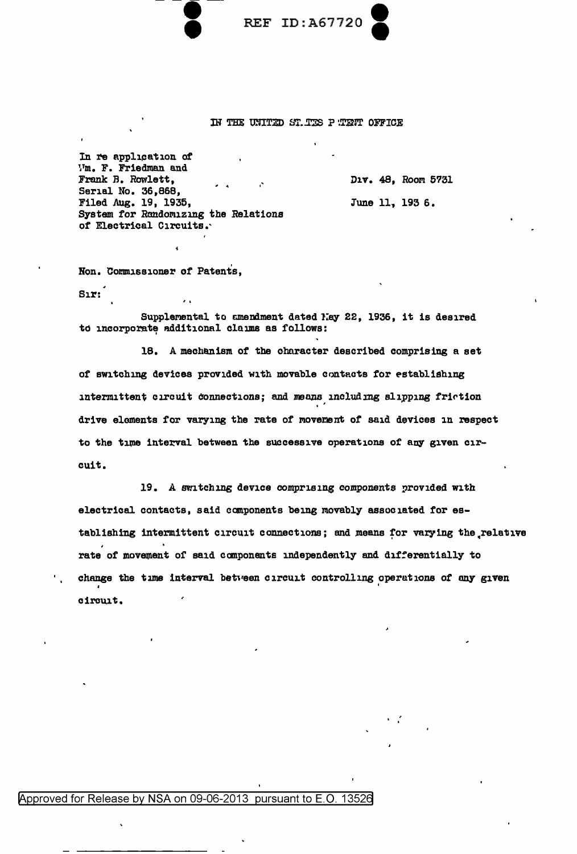

## IN THE UNITED ST. TES P TENT OFFICE

In re application of Vm. F. Friedman and Frank B. Rowlett, Serial No. 36,868, Filed Aug. 19, 1935, System for Randomizing the Relations of Electrical Circuits.

D1v. 48, Room 5731 June 11, 193 6.

Non. Commissioner of Patents.

 $S<sub>1</sub>$  $r$ 

Supplemental to amendment dated May 22, 1936, it is desired to incorporate additional claims as follows:

18. A mechanism of the character described comprising a set of switching devices provided with movable contacts for establishing intermittent circuit connections; and means including slipping friction drive elements for varying the rate of movement of said devices in respect to the time interval between the successive operations of any given circuit.

19. A switching device comprising components provided with electrical contacts, said components being movably associated for establishing intermittent circuit connections; and means for varying the relative rate of movement of said components independently and differentially to change the time interval between circuit controlling operations of any given circuit.

## Approved for Release by NSA on 09-06-2013 pursuant to E.O. 13526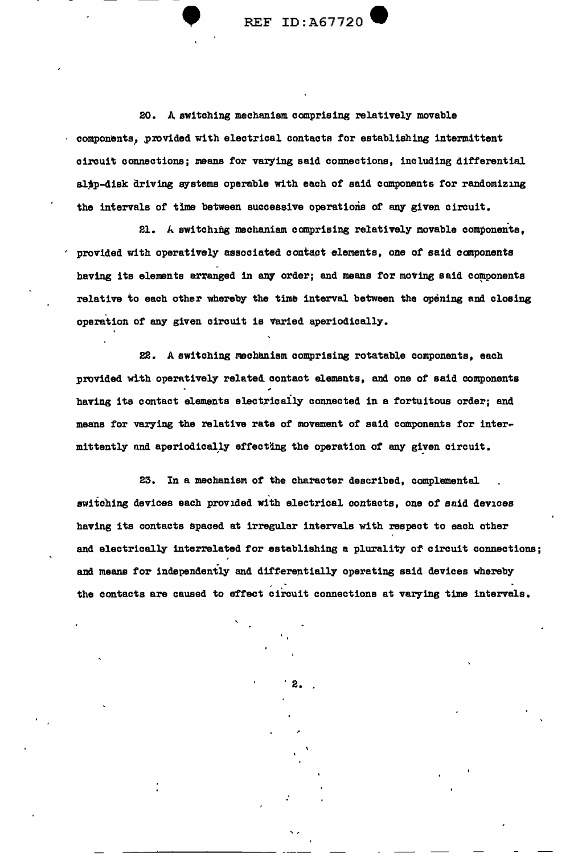$REF$  ID: $A67720$ 

20. A switching mechanism comprising relatively movable components, provided with electrical contacts for establishing intermittent circuit connections; means for varying said connections, including differential slip-disk driving systems operable with each of said components for randomizing the intervals of time between successive operations of any given circuit.

21. A switching mechanism comprising relatively movable components, provided with operatively associated contact elements, one of said components having its elements arranged in any order; and means for moving said components relative to each other whereby the time interval between the opening and closing operation *ot* any given circuit is varied aperiodically.

22. A switching mechanism comprising rotatable components, each provided with operatively related contact elements, and one of said components having its contact elements electrically connected in a fortuitous order; and means for varying the relative rate of movement of said components for inter- $\texttt{mittently}$  and aperiodically effecting the operation of any given circuit.

23. In a mechanism of the character described, complemental switching devices each provided with electrical contacts, one of said devices having its contacts spaced at irregular intervals with respect to each other and electrically interrelated for establishing a plurality of circuit connections; and means for independently and differentially operating said devices whereby the contacts are caused to effect circuit connections at varying time intervals.

2 •

.'

' '